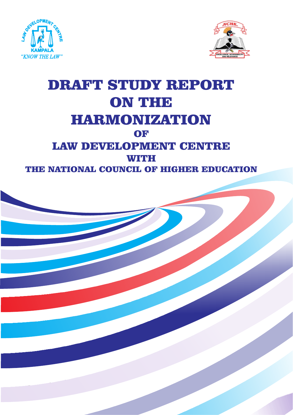



# DRAFT STUDY REPORT ON THE HARMONIZATION OF LAW DEVELOPMENT CENTRE **WITH** THE NATIONAL COUNCIL OF HIGHER EDUCATION

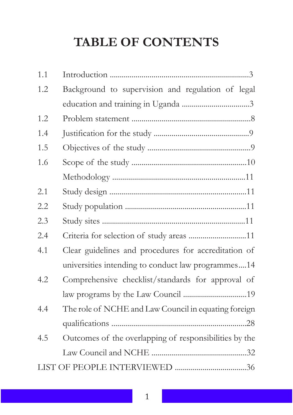# **TABLE OF CONTENTS**

| 1.1 |                                                        |  |  |  |
|-----|--------------------------------------------------------|--|--|--|
| 1.2 | Background to supervision and regulation of legal      |  |  |  |
|     |                                                        |  |  |  |
| 1.2 |                                                        |  |  |  |
| 1.4 |                                                        |  |  |  |
| 1.5 |                                                        |  |  |  |
| 1.6 |                                                        |  |  |  |
|     |                                                        |  |  |  |
| 2.1 |                                                        |  |  |  |
| 2.2 |                                                        |  |  |  |
| 2.3 |                                                        |  |  |  |
| 2.4 | Criteria for selection of study areas 11               |  |  |  |
| 4.1 | Clear guidelines and procedures for accreditation of   |  |  |  |
|     | universities intending to conduct law programmes14     |  |  |  |
| 4.2 | Comprehensive checklist/standards for approval of      |  |  |  |
|     |                                                        |  |  |  |
| 4.4 | The role of NCHE and Law Council in equating foreign   |  |  |  |
|     |                                                        |  |  |  |
| 4.5 | Outcomes of the overlapping of responsibilities by the |  |  |  |
|     |                                                        |  |  |  |
|     |                                                        |  |  |  |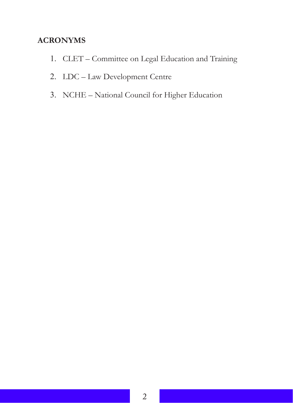### **ACRONYMS**

- 1. CLET Committee on Legal Education and Training
- 2. LDC Law Development Centre
- 3. NCHE National Council for Higher Education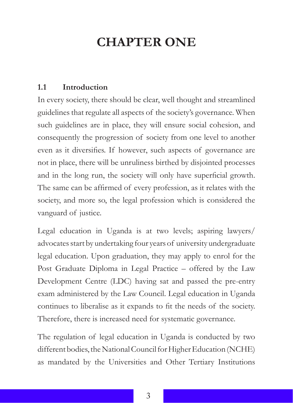# **CHAPTER ONE**

### **1.1 Introduction**

In every society, there should be clear, well thought and streamlined guidelines that regulate all aspects of the society's governance. When such guidelines are in place, they will ensure social cohesion, and consequently the progression of society from one level to another even as it diversifies. If however, such aspects of governance are not in place, there will be unruliness birthed by disjointed processes and in the long run, the society will only have superficial growth. The same can be affirmed of every profession, as it relates with the society, and more so, the legal profession which is considered the vanguard of justice.

Legal education in Uganda is at two levels; aspiring lawyers/ advocates start by undertaking four years of university undergraduate legal education. Upon graduation, they may apply to enrol for the Post Graduate Diploma in Legal Practice – offered by the Law Development Centre (LDC) having sat and passed the pre-entry exam administered by the Law Council. Legal education in Uganda continues to liberalise as it expands to fit the needs of the society. Therefore, there is increased need for systematic governance.

The regulation of legal education in Uganda is conducted by two different bodies, the National Council for Higher Education (NCHE) as mandated by the Universities and Other Tertiary Institutions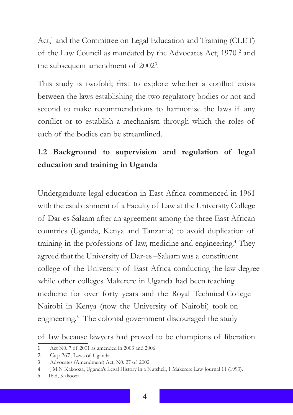Act,<sup>1</sup> and the Committee on Legal Education and Training (CLET) of the Law Council as mandated by the Advocates Act, 1970<sup>2</sup> and the subsequent amendment of 2002<sup>3</sup>.

This study is twofold; first to explore whether a conflict exists between the laws establishing the two regulatory bodies or not and second to make recommendations to harmonise the laws if any conflict or to establish a mechanism through which the roles of each of the bodies can be streamlined.

# **1.2 Background to supervision and regulation of legal education and training in Uganda**

Undergraduate legal education in East Africa commenced in 1961 with the establishment of a Faculty of Law at the University College of Dar-es-Salaam after an agreement among the three East African countries (Uganda, Kenya and Tanzania) to avoid duplication of training in the professions of law, medicine and engineering.<sup>4</sup> They agreed that the University of Dar-es –Salaam was a constituent college of the University of East Africa conducting the law degree while other colleges Makerere in Uganda had been teaching medicine for over forty years and the Royal Technical College Nairobi in Kenya (now the University of Nairobi) took on engineering.<sup>5</sup> The colonial government discouraged the study

of law because lawyers had proved to be champions of liberation

44

<sup>1</sup> Act N0. 7 of 2001 as amended in 2003 and 2006

<sup>2</sup> Cap 267, Laws of Uganda

<sup>3</sup> Advocates (Amendment) Act, N0. 27 of 2002

<sup>4</sup> J.M.N Kakooza, Uganda's Legal History in a Nutshell, 1 Makerere Law Journal 11 (1993).

<sup>5</sup> Ibid, Kakooza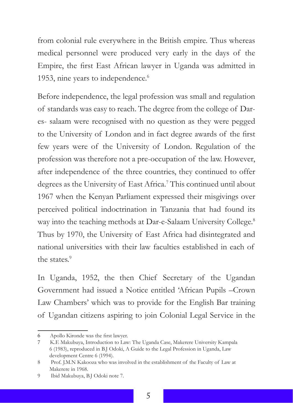from colonial rule everywhere in the British empire. Thus whereas medical personnel were produced very early in the days of the Empire, the first East African lawyer in Uganda was admitted in 1953, nine years to independence.<sup>6</sup>

Before independence, the legal profession was small and regulation of standards was easy to reach. The degree from the college of Dares- salaam were recognised with no question as they were pegged to the University of London and in fact degree awards of the first few years were of the University of London. Regulation of the profession was therefore not a pre-occupation of the law. However, after independence of the three countries, they continued to offer degrees as the University of East Africa.<sup>7</sup> This continued until about 1967 when the Kenyan Parliament expressed their misgivings over perceived political indoctrination in Tanzania that had found its way into the teaching methods at Dar-e-Salaam University College.<sup>8</sup> Thus by 1970, the University of East Africa had disintegrated and national universities with their law faculties established in each of the states.<sup>9</sup>

In Uganda, 1952, the then Chief Secretary of the Ugandan Government had issued a Notice entitled 'African Pupils –Crown Law Chambers' which was to provide for the English Bar training of Ugandan citizens aspiring to join Colonial Legal Service in the

<sup>6</sup> Apollo Kironde was the first lawyer.

<sup>7</sup> K.E Makubuya, Introduction to Law: The Uganda Case, Makerere University Kampala 6 (1983), reproduced in B.J Odoki, A Guide to the Legal Profession in Uganda, Law development Centre 6 (1994).

<sup>8</sup> Prof. J.M.N Kakooza who was involved in the establishment of the Faculty of Law at Makerere in 1968.

<sup>9</sup> Ibid Makubuya, B.J Odoki note 7.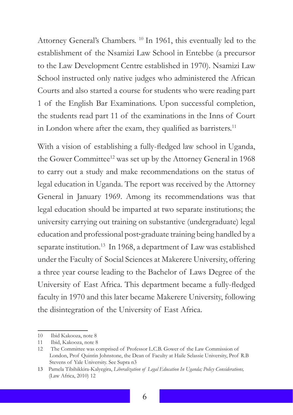Attorney General's Chambers. <sup>10</sup> In 1961, this eventually led to the establishment of the Nsamizi Law School in Entebbe (a precursor to the Law Development Centre established in 1970). Nsamizi Law School instructed only native judges who administered the African Courts and also started a course for students who were reading part 1 of the English Bar Examinations. Upon successful completion, the students read part 11 of the examinations in the Inns of Court in London where after the exam, they qualified as barristers.<sup>11</sup>

With a vision of establishing a fully-fledged law school in Uganda, the Gower Committee<sup>12</sup> was set up by the Attorney General in 1968 to carry out a study and make recommendations on the status of legal education in Uganda. The report was received by the Attorney General in January 1969. Among its recommendations was that legal education should be imparted at two separate institutions; the university carrying out training on substantive (undergraduate) legal education and professional post-graduate training being handled by a separate institution.<sup>13</sup> In 1968, a department of Law was established under the Faculty of Social Sciences at Makerere University, offering a three year course leading to the Bachelor of Laws Degree of the University of East Africa. This department became a fully-fledged faculty in 1970 and this later became Makerere University, following the disintegration of the University of East Africa.

<sup>10</sup> Ibid Kakooza, note 8

<sup>11</sup> Ibid, Kakooza, note 8

<sup>12</sup> The Committee was comprised of Professor L.C.B. Gower of the Law Commission of London, Prof Quintin Johnstone, the Dean of Faculty at Haile Selassie University, Prof R.B Stevens of Yale University. See Supra n3

<sup>13</sup> Pamela Tibihikkira-Kalyegira, *Liberalization of Legal Education In Uganda; Policy Considerations,*  (Law Africa, 2010) 12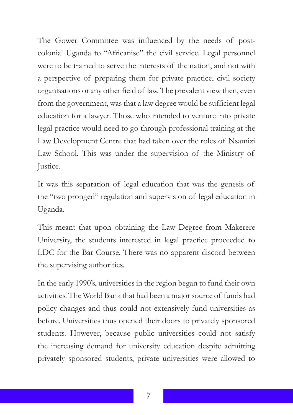The Gower Committee was influenced by the needs of postcolonial Uganda to "Africanise" the civil service. Legal personnel were to be trained to serve the interests of the nation, and not with a perspective of preparing them for private practice, civil society organisations or any other field of law. The prevalent view then, even from the government, was that a law degree would be sufficient legal education for a lawyer. Those who intended to venture into private legal practice would need to go through professional training at the Law Development Centre that had taken over the roles of Nsamizi Law School. This was under the supervision of the Ministry of Justice.

It was this separation of legal education that was the genesis of the "two pronged" regulation and supervision of legal education in Uganda.

This meant that upon obtaining the Law Degree from Makerere University, the students interested in legal practice proceeded to LDC for the Bar Course. There was no apparent discord between the supervising authorities.

In the early 1990's, universities in the region began to fund their own activities. The World Bank that had been a major source of funds had policy changes and thus could not extensively fund universities as before. Universities thus opened their doors to privately sponsored students. However, because public universities could not satisfy the increasing demand for university education despite admitting privately sponsored students, private universities were allowed to

7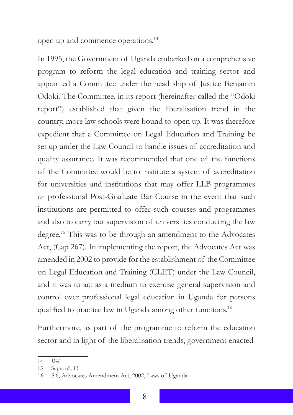open up and commence operations.14

In 1995, the Government of Uganda embarked on a comprehensive program to reform the legal education and training sector and appointed a Committee under the head ship of Justice Benjamin Odoki. The Committee, in its report (hereinafter called the "Odoki report") established that given the liberalisation trend in the country, more law schools were bound to open up. It was therefore expedient that a Committee on Legal Education and Training be set up under the Law Council to handle issues of accreditation and quality assurance. It was recommended that one of the functions of the Committee would be to institute a system of accreditation for universities and institutions that may offer LLB programmes or professional Post-Graduate Bar Course in the event that such institutions are permitted to offer such courses and programmes and also to carry out supervision of universities conducting the law degree.15 This was to be through an amendment to the Advocates Act, (Cap 267). In implementing the report, the Advocates Act was amended in 2002 to provide for the establishment of the Committee on Legal Education and Training (CLET) under the Law Council, and it was to act as a medium to exercise general supervision and control over professional legal education in Uganda for persons qualified to practice law in Uganda among other functions.<sup>16</sup>

Furthermore, as part of the programme to reform the education sector and in light of the liberalisation trends, government enacted

<sup>14</sup> *Ibid*

<sup>15</sup> Supra n5, 13

<sup>16</sup> S.6, Advocates Amendment Act, 2002, Laws of Uganda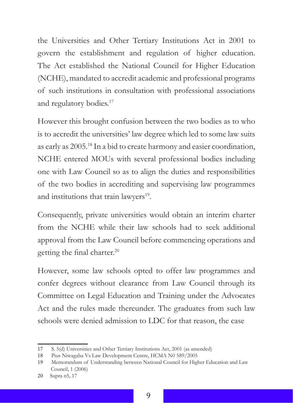the Universities and Other Tertiary Institutions Act in 2001 to govern the establishment and regulation of higher education. The Act established the National Council for Higher Education (NCHE), mandated to accredit academic and professional programs of such institutions in consultation with professional associations and regulatory bodies.<sup>17</sup>

However this brought confusion between the two bodies as to who is to accredit the universities' law degree which led to some law suits as early as 2005.<sup>18</sup> In a bid to create harmony and easier coordination, NCHE entered MOUs with several professional bodies including one with Law Council so as to align the duties and responsibilities of the two bodies in accrediting and supervising law programmes and institutions that train lawyers<sup>19</sup>.

Consequently, private universities would obtain an interim charter from the NCHE while their law schools had to seek additional approval from the Law Council before commencing operations and getting the final charter.<sup>20</sup>

However, some law schools opted to offer law programmes and confer degrees without clearance from Law Council through its Committee on Legal Education and Training under the Advocates Act and the rules made thereunder. The graduates from such law schools were denied admission to LDC for that reason, the case

<sup>17</sup> S. 5(d) Universities and Other Tertiary Institutions Act, 2001 (as amended)

<sup>18</sup> Pius Niwagaba Vs Law Development Centre, HCMA N0 589/2005

<sup>19</sup> Memorandum of Understanding between National Council for Higher Education and Law Council, 1 (2006)

<sup>20</sup> Supra n5, 17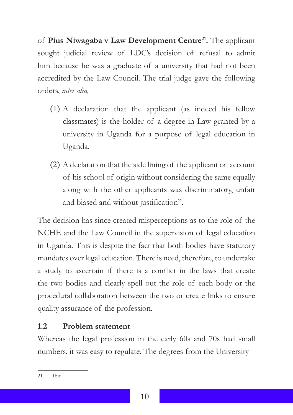of **Pius Niwagaba v Law Development Centre21.** The applicant sought judicial review of LDC's decision of refusal to admit him because he was a graduate of a university that had not been accredited by the Law Council. The trial judge gave the following orders, *inter alia,* 

- (1) A declaration that the applicant (as indeed his fellow classmates) is the holder of a degree in Law granted by a university in Uganda for a purpose of legal education in Uganda.
- (2) A declaration that the side lining of the applicant on account of his school of origin without considering the same equally along with the other applicants was discriminatory, unfair and biased and without justification".

The decision has since created misperceptions as to the role of the NCHE and the Law Council in the supervision of legal education in Uganda. This is despite the fact that both bodies have statutory mandates over legal education. There is need, therefore, to undertake a study to ascertain if there is a conflict in the laws that create the two bodies and clearly spell out the role of each body or the procedural collaboration between the two or create links to ensure quality assurance of the profession.

#### **1.2 Problem statement**

Whereas the legal profession in the early 60s and 70s had small numbers, it was easy to regulate. The degrees from the University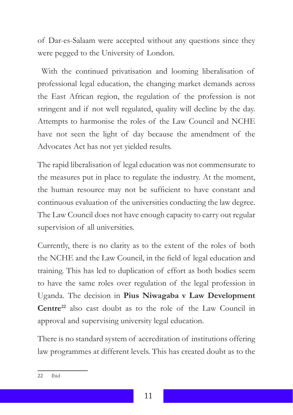of Dar-es-Salaam were accepted without any questions since they were pegged to the University of London.

 With the continued privatisation and looming liberalisation of professional legal education, the changing market demands across the East African region, the regulation of the profession is not stringent and if not well regulated, quality will decline by the day. Attempts to harmonise the roles of the Law Council and NCHE have not seen the light of day because the amendment of the Advocates Act has not yet yielded results.

The rapid liberalisation of legal education was not commensurate to the measures put in place to regulate the industry. At the moment, the human resource may not be sufficient to have constant and continuous evaluation of the universities conducting the law degree. The Law Council does not have enough capacity to carry out regular supervision of all universities.

Currently, there is no clarity as to the extent of the roles of both the NCHE and the Law Council, in the field of legal education and training. This has led to duplication of effort as both bodies seem to have the same roles over regulation of the legal profession in Uganda. The decision in **Pius Niwagaba v Law Development Centre22** also cast doubt as to the role of the Law Council in approval and supervising university legal education.

There is no standard system of accreditation of institutions offering law programmes at different levels. This has created doubt as to the

<sup>22</sup> Ibid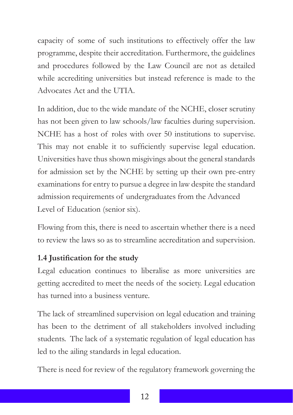capacity of some of such institutions to effectively offer the law programme, despite their accreditation. Furthermore, the guidelines and procedures followed by the Law Council are not as detailed while accrediting universities but instead reference is made to the Advocates Act and the UTIA.

In addition, due to the wide mandate of the NCHE, closer scrutiny has not been given to law schools/law faculties during supervision. NCHE has a host of roles with over 50 institutions to supervise. This may not enable it to sufficiently supervise legal education. Universities have thus shown misgivings about the general standards for admission set by the NCHE by setting up their own pre-entry examinations for entry to pursue a degree in law despite the standard admission requirements of undergraduates from the Advanced Level of Education (senior six).

Flowing from this, there is need to ascertain whether there is a need to review the laws so as to streamline accreditation and supervision.

## **1.4 Justification for the study**

Legal education continues to liberalise as more universities are getting accredited to meet the needs of the society. Legal education has turned into a business venture.

The lack of streamlined supervision on legal education and training has been to the detriment of all stakeholders involved including students. The lack of a systematic regulation of legal education has led to the ailing standards in legal education.

There is need for review of the regulatory framework governing the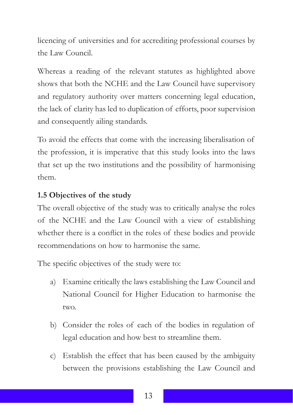licencing of universities and for accrediting professional courses by the Law Council.

Whereas a reading of the relevant statutes as highlighted above shows that both the NCHE and the Law Council have supervisory and regulatory authority over matters concerning legal education, the lack of clarity has led to duplication of efforts, poor supervision and consequently ailing standards.

To avoid the effects that come with the increasing liberalisation of the profession, it is imperative that this study looks into the laws that set up the two institutions and the possibility of harmonising them.

## **1.5 Objectives of the study**

The overall objective of the study was to critically analyse the roles of the NCHE and the Law Council with a view of establishing whether there is a conflict in the roles of these bodies and provide recommendations on how to harmonise the same.

The specific objectives of the study were to:

- a) Examine critically the laws establishing the Law Council and National Council for Higher Education to harmonise the two.
- b) Consider the roles of each of the bodies in regulation of legal education and how best to streamline them.
- c) Establish the effect that has been caused by the ambiguity between the provisions establishing the Law Council and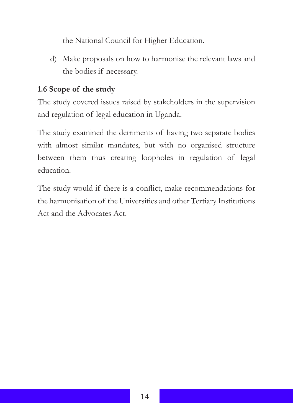the National Council for Higher Education.

d) Make proposals on how to harmonise the relevant laws and the bodies if necessary.

#### **1.6 Scope of the study**

The study covered issues raised by stakeholders in the supervision and regulation of legal education in Uganda.

The study examined the detriments of having two separate bodies with almost similar mandates, but with no organised structure between them thus creating loopholes in regulation of legal education.

The study would if there is a conflict, make recommendations for the harmonisation of the Universities and other Tertiary Institutions Act and the Advocates Act.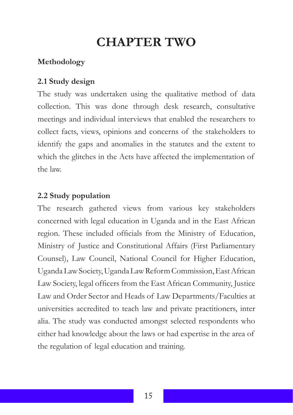# **CHAPTER TWO**

## **Methodology**

### **2.1 Study design**

The study was undertaken using the qualitative method of data collection. This was done through desk research, consultative meetings and individual interviews that enabled the researchers to collect facts, views, opinions and concerns of the stakeholders to identify the gaps and anomalies in the statutes and the extent to which the glitches in the Acts have affected the implementation of the law.

#### **2.2 Study population**

The research gathered views from various key stakeholders concerned with legal education in Uganda and in the East African region. These included officials from the Ministry of Education, Ministry of Justice and Constitutional Affairs (First Parliamentary Counsel), Law Council, National Council for Higher Education, Uganda Law Society, Uganda Law Reform Commission, East African Law Society, legal officers from the East African Community, Justice Law and Order Sector and Heads of Law Departments/Faculties at universities accredited to teach law and private practitioners, inter alia. The study was conducted amongst selected respondents who either had knowledge about the laws or had expertise in the area of the regulation of legal education and training.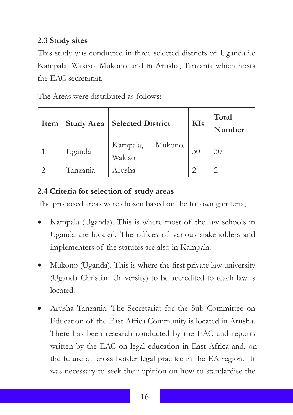### **2.3 Study sites**

This study was conducted in three selected districts of Uganda i.e Kampala, Wakiso, Mukono, and in Arusha, Tanzania which hosts the EAC secretariat.

The Areas were distributed as follows:

| Item |          | Study Area   Selected District | <b>KIs</b> | <b>Total</b><br>Number |
|------|----------|--------------------------------|------------|------------------------|
|      | Uganda   | Kampala,<br>Mukono,<br>Wakiso  | 30         | 30                     |
|      | Tanzania | Arusha                         |            |                        |

# **2.4 Criteria for selection of study areas**

The proposed areas were chosen based on the following criteria;

- Kampala (Uganda). This is where most of the law schools in Uganda are located. The offices of various stakeholders and implementers of the statutes are also in Kampala.
- Mukono (Uganda). This is where the first private law university (Uganda Christian University) to be accredited to teach law is located.
- Arusha Tanzania. The Secretariat for the Sub Committee on Education of the East Africa Community is located in Arusha. There has been research conducted by the EAC and reports written by the EAC on legal education in East Africa and, on the future of cross border legal practice in the EA region. It was necessary to seek their opinion on how to standardise the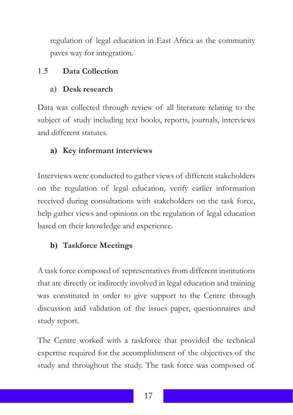regulation of legal education in East Africa as the community paves way for integration.

### 1.5 **Data Collection**

## a) **Desk research**

Data was collected through review of all literature relating to the subject of study including text books, reports, journals, interviews and different statutes.

# **a) Key informant interviews**

Interviews were conducted to gather views of different stakeholders on the regulation of legal education, verify earlier information received during consultations with stakeholders on the task force, help gather views and opinions on the regulation of legal education based on their knowledge and experience.

# **b) Taskforce Meetings**

A task force composed of representatives from different institutions that are directly or indirectly involved in legal education and training was constituted in order to give support to the Centre through discussion and validation of the issues paper, questionnaires and study report.

The Centre worked with a taskforce that provided the technical expertise required for the accomplishment of the objectives of the study and throughout the study. The task force was composed of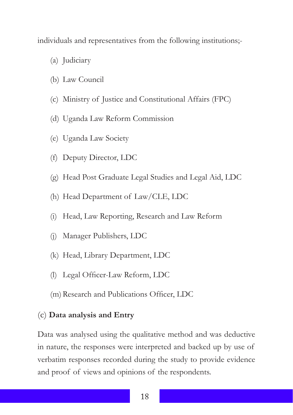individuals and representatives from the following institutions;-

- (a) Judiciary
- (b) Law Council
- (c) Ministry of Justice and Constitutional Affairs (FPC)
- (d) Uganda Law Reform Commission
- (e) Uganda Law Society
- (f) Deputy Director, LDC
- (g) Head Post Graduate Legal Studies and Legal Aid, LDC
- (h) Head Department of Law/CLE, LDC
- (i) Head, Law Reporting, Research and Law Reform
- (j) Manager Publishers, LDC
- (k) Head, Library Department, LDC
- (l) Legal Officer-Law Reform, LDC
- (m)Research and Publications Officer, LDC

#### (c) **Data analysis and Entry**

Data was analysed using the qualitative method and was deductive in nature, the responses were interpreted and backed up by use of verbatim responses recorded during the study to provide evidence and proof of views and opinions of the respondents.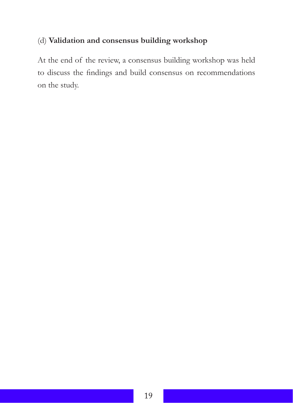### (d) **Validation and consensus building workshop**

At the end of the review, a consensus building workshop was held to discuss the findings and build consensus on recommendations on the study.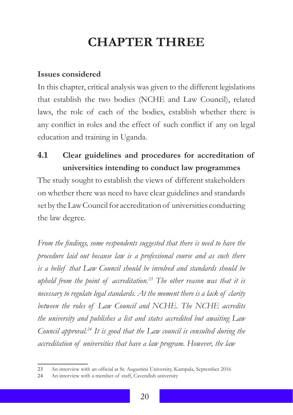# **CHAPTER THREE**

#### **Issues considered**

In this chapter, critical analysis was given to the different legislations that establish the two bodies (NCHE and Law Council), related laws, the role of each of the bodies, establish whether there is any conflict in roles and the effect of such conflict if any on legal education and training in Uganda.

**4.1 Clear guidelines and procedures for accreditation of universities intending to conduct law programmes**

The study sought to establish the views of different stakeholders on whether there was need to have clear guidelines and standards set by the Law Council for accreditation of universities conducting the law degree.

*From the findings, some respondents suggested that there is need to have the procedure laid out because law is a professional course and as such there is a belief that Law Council should be involved and standards should be upheld from the point of accreditation.<sup>23</sup> The other reason was that it is necessary to regulate legal standards. At the moment there is a lack of clarity between the roles of Law Council and NCHE. The NCHE accredits the university and publishes a list and states accredited but awaiting Law Council approval.<sup>24</sup> It is good that the Law council is consulted during the accreditation of universities that have a law program. However, the law* 

<sup>23</sup> An interview with an official at St. Augustine University, Kampala, September 2016

<sup>24</sup> An interview with a member of staff, Cavendish university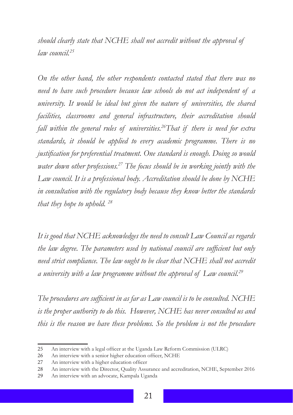*should clearly state that NCHE shall not accredit without the approval of law council.<sup>25</sup>*

*On the other hand, the other respondents contacted stated that there was no need to have such procedure because law schools do not act independent of a university. It would be ideal but given the nature of universities, the shared facilities, classrooms and general infrastructure, their accreditation should fall within the general rules of universities.26That if there is need for extra standards, it should be applied to every academic programme. There is no justification for preferential treatment. One standard is enough. Doing so would water down other professions.<sup>27</sup> The focus should be in working jointly with the Law council. It is a professional body. Accreditation should be done by NCHE in consultation with the regulatory body because they know better the standards that they hope to uphold. <sup>28</sup>*

*It is good that NCHE acknowledges the need to consult Law Council as regards the law degree. The parameters used by national council are sufficient but only need strict compliance. The law ought to be clear that NCHE shall not accredit a university with a law programme without the approval of Law council.<sup>29</sup>*

*The procedures are sufficient in as far as Law council is to be consulted. NCHE is the proper authority to do this. However, NCHE has never consulted us and this is the reason we have these problems. So the problem is not the procedure* 

<sup>25</sup> An interview with a legal officer at the Uganda Law Reform Commission (ULRC)

<sup>26</sup> An interview with a senior higher education officer, NCHE

<sup>27</sup> An interview with a higher education officer

<sup>28</sup> An interview with the Director, Quality Assurance and accreditation, NCHE, September 2016

<sup>29</sup> An interview with an advocate, Kampala Uganda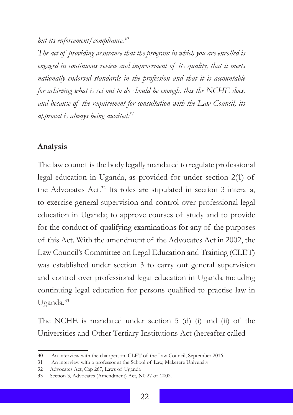*but its enforcement/compliance.<sup>30</sup>*

*The act of providing assurance that the program in which you are enrolled is engaged in continuous review and improvement of its quality, that it meets nationally endorsed standards in the profession and that it is accountable for achieving what is set out to do should be enough, this the NCHE does, and because of the requirement for consultation with the Law Council, its approval is always being awaited.<sup>31</sup>*

#### **Analysis**

The law council is the body legally mandated to regulate professional legal education in Uganda, as provided for under section 2(1) of the Advocates Act.<sup>32</sup> Its roles are stipulated in section 3 interalia, to exercise general supervision and control over professional legal education in Uganda; to approve courses of study and to provide for the conduct of qualifying examinations for any of the purposes of this Act. With the amendment of the Advocates Act in 2002, the Law Council's Committee on Legal Education and Training (CLET) was established under section 3 to carry out general supervision and control over professional legal education in Uganda including continuing legal education for persons qualified to practise law in Uganda.<sup>33</sup>

The NCHE is mandated under section 5 (d) (i) and (ii) of the Universities and Other Tertiary Institutions Act (hereafter called

<sup>30</sup> An interview with the chairperson, CLET of the Law Council, September 2016.

<sup>31</sup> An interview with a professor at the School of Law, Makerere University

<sup>32</sup> Advocates Act, Cap 267, Laws of Uganda

<sup>33</sup> Section 3, Advocates (Amendment) Act, N0.27 of 2002.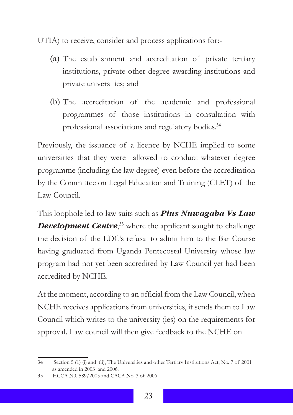UTIA) to receive, consider and process applications for:-

- (a) The establishment and accreditation of private tertiary institutions, private other degree awarding institutions and private universities; and
- (b) The accreditation of the academic and professional programmes of those institutions in consultation with professional associations and regulatory bodies.<sup>34</sup>

Previously, the issuance of a licence by NCHE implied to some universities that they were allowed to conduct whatever degree programme (including the law degree) even before the accreditation by the Committee on Legal Education and Training (CLET) of the Law Council.

This loophole led to law suits such as *Pius Nuwagaba Vs Law*  **Development Centre**,<sup>35</sup> where the applicant sought to challenge the decision of the LDC's refusal to admit him to the Bar Course having graduated from Uganda Pentecostal University whose law program had not yet been accredited by Law Council yet had been accredited by NCHE.

At the moment, according to an official from the Law Council, when NCHE receives applications from universities, it sends them to Law Council which writes to the university (ies) on the requirements for approval. Law council will then give feedback to the NCHE on

<sup>34</sup> Section 5 (1) (i) and (ii), The Universities and other Tertiary Institutions Act, No. 7 of 2001 as amended in 2003 and 2006.

<sup>35</sup> HCCA N0. 589/2005 and CACA No. 3 of 2006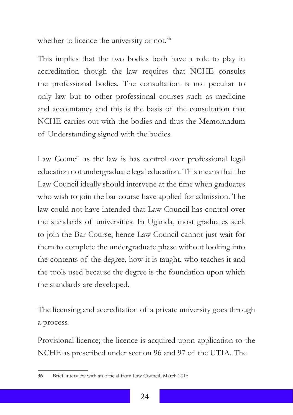whether to licence the university or not.<sup>36</sup>

This implies that the two bodies both have a role to play in accreditation though the law requires that NCHE consults the professional bodies. The consultation is not peculiar to only law but to other professional courses such as medicine and accountancy and this is the basis of the consultation that NCHE carries out with the bodies and thus the Memorandum of Understanding signed with the bodies.

Law Council as the law is has control over professional legal education not undergraduate legal education. This means that the Law Council ideally should intervene at the time when graduates who wish to join the bar course have applied for admission. The law could not have intended that Law Council has control over the standards of universities. In Uganda, most graduates seek to join the Bar Course, hence Law Council cannot just wait for them to complete the undergraduate phase without looking into the contents of the degree, how it is taught, who teaches it and the tools used because the degree is the foundation upon which the standards are developed.

The licensing and accreditation of a private university goes through a process.

Provisional licence; the licence is acquired upon application to the NCHE as prescribed under section 96 and 97 of the UTIA. The

<sup>36</sup> Brief interview with an official from Law Council, March 2015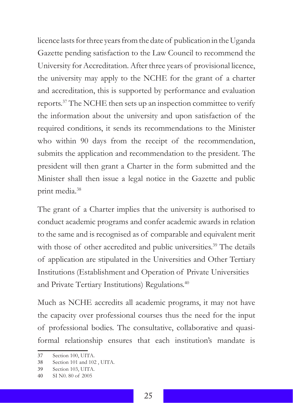licence lasts for three years from the date of publication in the Uganda Gazette pending satisfaction to the Law Council to recommend the University for Accreditation. After three years of provisional licence, the university may apply to the NCHE for the grant of a charter and accreditation, this is supported by performance and evaluation reports.<sup>37</sup> The NCHE then sets up an inspection committee to verify the information about the university and upon satisfaction of the required conditions, it sends its recommendations to the Minister who within 90 days from the receipt of the recommendation, submits the application and recommendation to the president. The president will then grant a Charter in the form submitted and the Minister shall then issue a legal notice in the Gazette and public print media.<sup>38</sup>

The grant of a Charter implies that the university is authorised to conduct academic programs and confer academic awards in relation to the same and is recognised as of comparable and equivalent merit with those of other accredited and public universities.<sup>39</sup> The details of application are stipulated in the Universities and Other Tertiary Institutions (Establishment and Operation of Private Universities and Private Tertiary Institutions) Regulations.<sup>40</sup>

Much as NCHE accredits all academic programs, it may not have the capacity over professional courses thus the need for the input of professional bodies. The consultative, collaborative and quasiformal relationship ensures that each institution's mandate is

<sup>37</sup> Section 100, UITA.

<sup>38</sup> Section 101 and 102 , UITA.

<sup>39</sup> Section 103, UITA.

<sup>40</sup> SI N0. 80 of 2005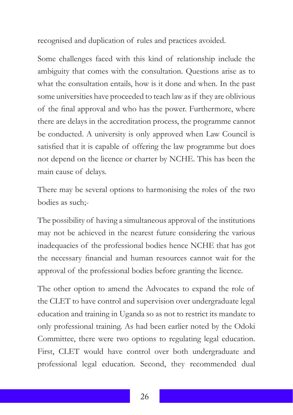recognised and duplication of rules and practices avoided.

Some challenges faced with this kind of relationship include the ambiguity that comes with the consultation. Questions arise as to what the consultation entails, how is it done and when. In the past some universities have proceeded to teach law as if they are oblivious of the final approval and who has the power. Furthermore, where there are delays in the accreditation process, the programme cannot be conducted. A university is only approved when Law Council is satisfied that it is capable of offering the law programme but does not depend on the licence or charter by NCHE. This has been the main cause of delays.

There may be several options to harmonising the roles of the two bodies as such;-

The possibility of having a simultaneous approval of the institutions may not be achieved in the nearest future considering the various inadequacies of the professional bodies hence NCHE that has got the necessary financial and human resources cannot wait for the approval of the professional bodies before granting the licence.

The other option to amend the Advocates to expand the role of the CLET to have control and supervision over undergraduate legal education and training in Uganda so as not to restrict its mandate to only professional training. As had been earlier noted by the Odoki Committee, there were two options to regulating legal education. First, CLET would have control over both undergraduate and professional legal education. Second, they recommended dual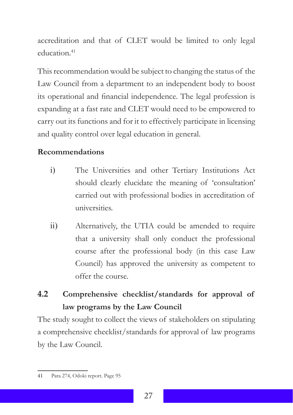accreditation and that of CLET would be limited to only legal education<sup>41</sup>

This recommendation would be subject to changing the status of the Law Council from a department to an independent body to boost its operational and financial independence. The legal profession is expanding at a fast rate and CLET would need to be empowered to carry out its functions and for it to effectively participate in licensing and quality control over legal education in general.

### **Recommendations**

- i) The Universities and other Tertiary Institutions Act should clearly elucidate the meaning of 'consultation' carried out with professional bodies in accreditation of universities.
- ii) Alternatively, the UTIA could be amended to require that a university shall only conduct the professional course after the professional body (in this case Law Council) has approved the university as competent to offer the course.

# **4.2 Comprehensive checklist/standards for approval of law programs by the Law Council**

The study sought to collect the views of stakeholders on stipulating a comprehensive checklist/standards for approval of law programs by the Law Council.

<sup>41</sup> Para 274, Odoki report. Page 95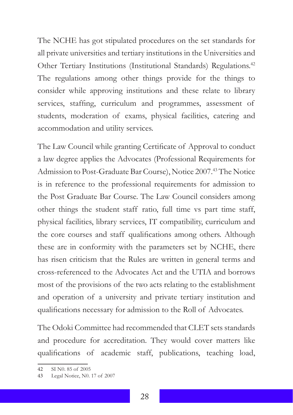The NCHE has got stipulated procedures on the set standards for all private universities and tertiary institutions in the Universities and Other Tertiary Institutions (Institutional Standards) Regulations.<sup>42</sup> The regulations among other things provide for the things to consider while approving institutions and these relate to library services, staffing, curriculum and programmes, assessment of students, moderation of exams, physical facilities, catering and accommodation and utility services.

The Law Council while granting Certificate of Approval to conduct a law degree applies the Advocates (Professional Requirements for Admission to Post-Graduate Bar Course), Notice 2007.<sup>43</sup> The Notice is in reference to the professional requirements for admission to the Post Graduate Bar Course. The Law Council considers among other things the student staff ratio, full time vs part time staff, physical facilities, library services, IT compatibility, curriculum and the core courses and staff qualifications among others. Although these are in conformity with the parameters set by NCHE, there has risen criticism that the Rules are written in general terms and cross-referenced to the Advocates Act and the UTIA and borrows most of the provisions of the two acts relating to the establishment and operation of a university and private tertiary institution and qualifications necessary for admission to the Roll of Advocates.

The Odoki Committee had recommended that CLET sets standards and procedure for accreditation. They would cover matters like qualifications of academic staff, publications, teaching load,

<sup>42</sup> SI N0. 85 of 2005

<sup>43</sup> Legal Notice, N0. 17 of 2007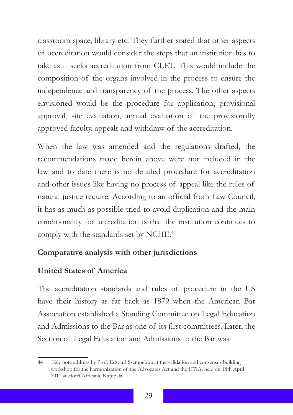classroom space, library etc. They further stated that other aspects of accreditation would consider the steps that an institution has to take as it seeks accreditation from CLET. This would include the composition of the organs involved in the process to ensure the independence and transparency of the process. The other aspects envisioned would be the procedure for application, provisional approval, site evaluation, annual evaluation of the provisionally approved faculty, appeals and withdraw of the accreditation.

When the law was amended and the regulations drafted, the recommendations made herein above were not included in the law and to date there is no detailed procedure for accreditation and other issues like having no process of appeal like the rules of natural justice require. According to an official from Law Council, it has as much as possible tried to avoid duplication and the main conditionality for accreditation is that the institution continues to comply with the standards set by NCHE.<sup>44</sup>

#### **Comparative analysis with other jurisdictions**

#### **United States of America**

The accreditation standards and rules of procedure in the US have their history as far back as 1879 when the American Bar Association established a Standing Committee on Legal Education and Admissions to the Bar as one of its first committees. Later, the Section of Legal Education and Admissions to the Bar was

<sup>44</sup> Key note address by Prof. Edward Ssempebwa at the validation and consensus building workshop for the harmonization of the Advocates Act and the UTIA, held on 18th April 2017 at Hotel Africana, Kampala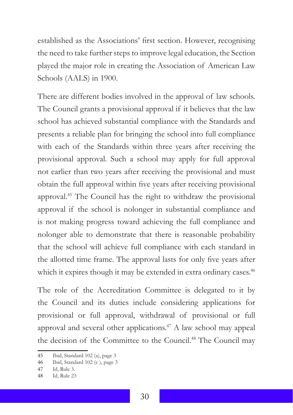established as the Associations' first section. However, recognising the need to take further steps to improve legal education, the Section played the major role in creating the Association of American Law Schools (AALS) in 1900.

There are different bodies involved in the approval of law schools. The Council grants a provisional approval if it believes that the law school has achieved substantial compliance with the Standards and presents a reliable plan for bringing the school into full compliance with each of the Standards within three years after receiving the provisional approval. Such a school may apply for full approval not earlier than two years after receiving the provisional and must obtain the full approval within five years after receiving provisional approval.45 The Council has the right to withdraw the provisional approval if the school is nolonger in substantial compliance and is not making progress toward achieving the full compliance and nolonger able to demonstrate that there is reasonable probability that the school will achieve full compliance with each standard in the allotted time frame. The approval lasts for only five years after which it expires though it may be extended in extra ordinary cases.<sup>46</sup>

The role of the Accreditation Committee is delegated to it by the Council and its duties include considering applications for provisional or full approval, withdrawal of provisional or full approval and several other applications.47 A law school may appeal the decision of the Committee to the Council.<sup>48</sup> The Council may

<sup>45</sup> Ibid, Standard 102 (a), page 3

<sup>46</sup> Ibid, Standard 102 (c ), page 3

<sup>47</sup> Id, Rule 3.

<sup>48</sup> Id, Rule 23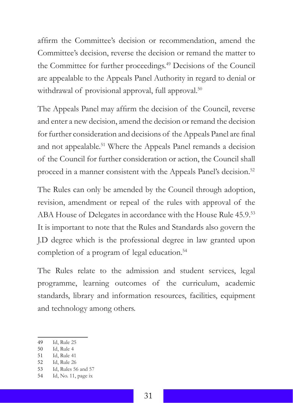affirm the Committee's decision or recommendation, amend the Committee's decision, reverse the decision or remand the matter to the Committee for further proceedings.<sup>49</sup> Decisions of the Council are appealable to the Appeals Panel Authority in regard to denial or withdrawal of provisional approval, full approval.<sup>50</sup>

The Appeals Panel may affirm the decision of the Council, reverse and enter a new decision, amend the decision or remand the decision for further consideration and decisions of the Appeals Panel are final and not appealable.51 Where the Appeals Panel remands a decision of the Council for further consideration or action, the Council shall proceed in a manner consistent with the Appeals Panel's decision.<sup>52</sup>

The Rules can only be amended by the Council through adoption, revision, amendment or repeal of the rules with approval of the ABA House of Delegates in accordance with the House Rule 45.9.<sup>53</sup> It is important to note that the Rules and Standards also govern the J.D degree which is the professional degree in law granted upon completion of a program of legal education.<sup>54</sup>

The Rules relate to the admission and student services, legal programme, learning outcomes of the curriculum, academic standards, library and information resources, facilities, equipment and technology among others.

49 Id, Rule 25

<sup>50</sup> Id, Rule 4

<sup>51</sup> Id, Rule 41

<sup>52</sup> Id, Rule 26

<sup>53</sup> Id, Rules 56 and 57

<sup>54</sup> Id, No. 11, page ix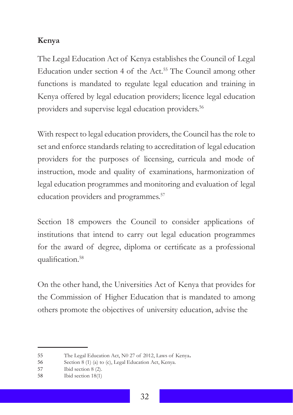## **Kenya**

The Legal Education Act of Kenya establishes the Council of Legal Education under section 4 of the Act.<sup>55</sup> The Council among other functions is mandated to regulate legal education and training in Kenya offered by legal education providers; licence legal education providers and supervise legal education providers.<sup>56</sup>

With respect to legal education providers, the Council has the role to set and enforce standards relating to accreditation of legal education providers for the purposes of licensing, curricula and mode of instruction, mode and quality of examinations, harmonization of legal education programmes and monitoring and evaluation of legal education providers and programmes.<sup>57</sup>

Section 18 empowers the Council to consider applications of institutions that intend to carry out legal education programmes for the award of degree, diploma or certificate as a professional qualification.<sup>58</sup>

On the other hand, the Universities Act of Kenya that provides for the Commission of Higher Education that is mandated to among others promote the objectives of university education, advise the

<sup>55</sup> The Legal Education Act, N0 27 of 2012, Laws of Kenya.

<sup>56</sup> Section 8 (1) (a) to (c), Legal Education Act, Kenya.

<sup>57</sup> Ibid section 8 (2).

<sup>58</sup> Ibid section 18(1)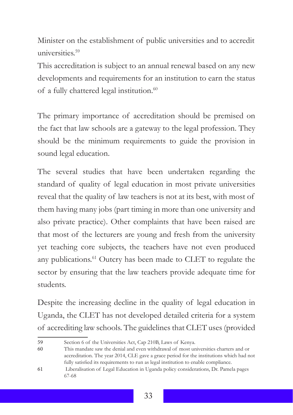Minister on the establishment of public universities and to accredit universities.59

This accreditation is subject to an annual renewal based on any new developments and requirements for an institution to earn the status of a fully chattered legal institution.<sup>60</sup>

The primary importance of accreditation should be premised on the fact that law schools are a gateway to the legal profession. They should be the minimum requirements to guide the provision in sound legal education.

The several studies that have been undertaken regarding the standard of quality of legal education in most private universities reveal that the quality of law teachers is not at its best, with most of them having many jobs (part timing in more than one university and also private practice). Other complaints that have been raised are that most of the lecturers are young and fresh from the university yet teaching core subjects, the teachers have not even produced any publications.<sup>61</sup> Outcry has been made to CLET to regulate the sector by ensuring that the law teachers provide adequate time for students.

Despite the increasing decline in the quality of legal education in Uganda, the CLET has not developed detailed criteria for a system of accrediting law schools. The guidelines that CLET uses (provided

<sup>59</sup> Section 6 of the Universities Act, Cap 210B, Laws of Kenya.

<sup>60</sup> This mandate saw the denial and even withdrawal of most universities charters and or accreditation. The year 2014, CLE gave a grace period for the institutions which had not fully satisfied its requirements to run as legal institution to enable compliance.

<sup>61</sup> Liberalisation of Legal Education in Uganda policy considerations, Dr. Pamela pages 67-68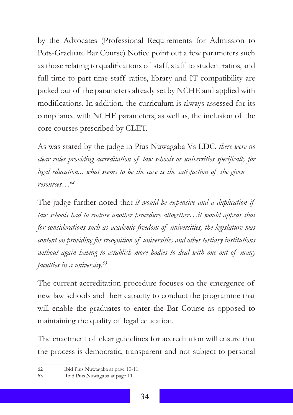by the Advocates (Professional Requirements for Admission to Pots-Graduate Bar Course) Notice point out a few parameters such as those relating to qualifications of staff, staff to student ratios, and full time to part time staff ratios, library and IT compatibility are picked out of the parameters already set by NCHE and applied with modifications. In addition, the curriculum is always assessed for its compliance with NCHE parameters, as well as, the inclusion of the core courses prescribed by CLET.

As was stated by the judge in Pius Nuwagaba Vs LDC, *there were no clear rules providing accreditation of law schools or universities specifically for legal education... what seems to be the case is the satisfaction of the given <sup>62</sup> resources…*

The judge further noted that *it would be expensive and a duplication if law schools had to endure another procedure altogether…it would appear that for considerations such as academic freedom of universities, the legislature was content on providing for recognition of universities and other tertiary institutions without again having to establish more bodies to deal with one out of many faculties in a university.<sup>63</sup>*

The current accreditation procedure focuses on the emergence of new law schools and their capacity to conduct the programme that will enable the graduates to enter the Bar Course as opposed to maintaining the quality of legal education.

The enactment of clear guidelines for accreditation will ensure that the process is democratic, transparent and not subject to personal

<sup>62</sup> Ibid Pius Nuwagaba at page 10-11

<sup>63</sup> Ibid Pius Nuwagaba at page 11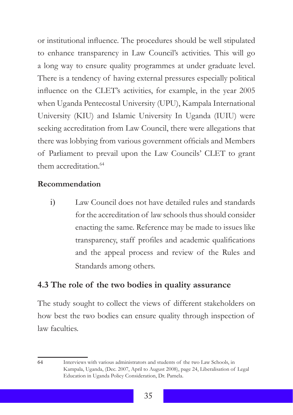or institutional influence. The procedures should be well stipulated to enhance transparency in Law Council's activities. This will go a long way to ensure quality programmes at under graduate level. There is a tendency of having external pressures especially political influence on the CLET's activities, for example, in the year 2005 when Uganda Pentecostal University (UPU), Kampala International University (KIU) and Islamic University In Uganda (IUIU) were seeking accreditation from Law Council, there were allegations that there was lobbying from various government officials and Members of Parliament to prevail upon the Law Councils' CLET to grant them accreditation<sup>64</sup>

#### **Recommendation**

i) Law Council does not have detailed rules and standards for the accreditation of law schools thus should consider enacting the same. Reference may be made to issues like transparency, staff profiles and academic qualifications and the appeal process and review of the Rules and Standards among others.

#### **4.3 The role of the two bodies in quality assurance**

The study sought to collect the views of different stakeholders on how best the two bodies can ensure quality through inspection of law faculties.

<sup>64</sup> Interviews with various administrators and students of the two Law Schools, in Kampala, Uganda, (Dec. 2007, April to August 2008), page 24, Liberalisation of Legal Education in Uganda Policy Consideration, Dr. Pamela.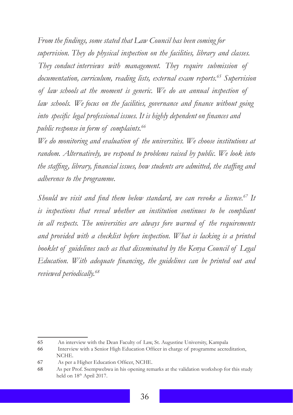*From the findings, some stated that Law Council has been coming for supervision. They do physical inspection on the facilities, library and classes. They conduct interviews with management. They require submission of documentation, curriculum, reading lists, external exam reports.<sup>65</sup> Supervision of law schools at the moment is generic. We do an annual inspection of law schools. We focus on the facilities, governance and finance without going into specific legal professional issues. It is highly dependent on finances and public response in form of complaints.<sup>66</sup>*

*We do monitoring and evaluation of the universities. We choose institutions at random. Alternatively, we respond to problems raised by public. We look into the staffing, library, financial issues, how students are admitted, the staffing and adherence to the programme.* 

*Should we visit and find them below standard, we can revoke a licence.<sup>67</sup> It is inspections that reveal whether an institution continues to be compliant in all respects. The universities are always fore warned of the requirements and provided with a checklist before inspection. What is lacking is a printed booklet of guidelines such as that disseminated by the Kenya Council of Legal Education. With adequate financing, the guidelines can be printed out and reviewed periodically.<sup>68</sup>*

<sup>65</sup> An interview with the Dean Faculty of Law, St. Augustine University, Kampala

<sup>66</sup> Interview with a Senior High Education Officer in charge of programme accreditation, NCHE.

<sup>67</sup> As per a Higher Education Officer, NCHE.

<sup>68</sup> As per Prof. Ssempwebwa in his opening remarks at the validation workshop for this study held on 18<sup>th</sup> April 2017.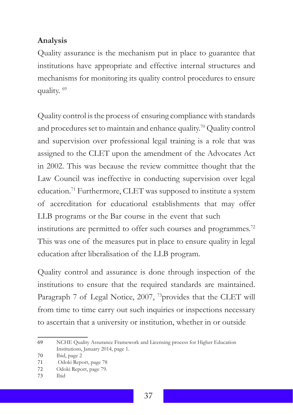#### **Analysis**

Quality assurance is the mechanism put in place to guarantee that institutions have appropriate and effective internal structures and mechanisms for monitoring its quality control procedures to ensure quality.<sup>69</sup>

Quality control is the process of ensuring compliance with standards and procedures set to maintain and enhance quality.<sup>70</sup> Quality control and supervision over professional legal training is a role that was assigned to the CLET upon the amendment of the Advocates Act in 2002. This was because the review committee thought that the Law Council was ineffective in conducting supervision over legal education.<sup>71</sup> Furthermore, CLET was supposed to institute a system of accreditation for educational establishments that may offer LLB programs or the Bar course in the event that such institutions are permitted to offer such courses and programmes.<sup>72</sup> This was one of the measures put in place to ensure quality in legal education after liberalisation of the LLB program.

Quality control and assurance is done through inspection of the institutions to ensure that the required standards are maintained. Paragraph 7 of Legal Notice, 2007, <sup>73</sup>provides that the CLET will from time to time carry out such inquiries or inspections necessary to ascertain that a university or institution, whether in or outside

<sup>69</sup> NCHE Quality Assurance Framework and Licensing process for Higher Education Institutions, January 2014, page 1.

<sup>70</sup> Ibid, page 2

<sup>71</sup> Odoki Report, page 78

<sup>72</sup> Odoki Report, page 79.

<sup>73</sup> Ibid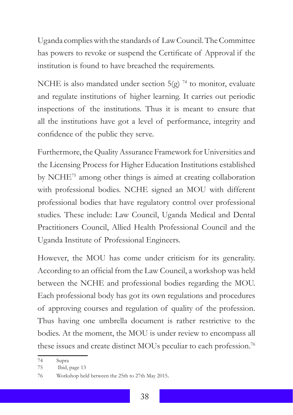Uganda complies with the standards of Law Council. The Committee has powers to revoke or suspend the Certificate of Approval if the institution is found to have breached the requirements.

NCHE is also mandated under section  $5(g)$ <sup>74</sup> to monitor, evaluate and regulate institutions of higher learning. It carries out periodic inspections of the institutions. Thus it is meant to ensure that all the institutions have got a level of performance, integrity and confidence of the public they serve.

Furthermore, the Quality Assurance Framework for Universities and the Licensing Process for Higher Education Institutions established by NCHE75 among other things is aimed at creating collaboration with professional bodies. NCHE signed an MOU with different professional bodies that have regulatory control over professional studies. These include: Law Council, Uganda Medical and Dental Practitioners Council, Allied Health Professional Council and the Uganda Institute of Professional Engineers.

However, the MOU has come under criticism for its generality. According to an official from the Law Council, a workshop was held between the NCHE and professional bodies regarding the MOU. Each professional body has got its own regulations and procedures of approving courses and regulation of quality of the profession. Thus having one umbrella document is rather restrictive to the bodies. At the moment, the MOU is under review to encompass all these issues and create distinct MOUs peculiar to each profession.<sup>76</sup>

<sup>74</sup> Supra

<sup>75</sup> Ibid, page 13

<sup>76</sup> Workshop held between the 25th to 27th May 2015.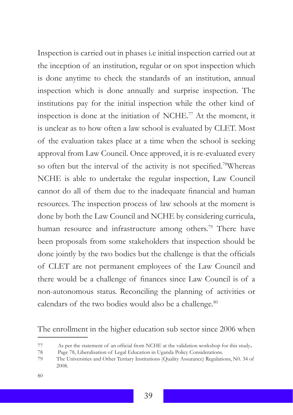Inspection is carried out in phases i.e initial inspection carried out at the inception of an institution, regular or on spot inspection which is done anytime to check the standards of an institution, annual inspection which is done annually and surprise inspection. The institutions pay for the initial inspection while the other kind of inspection is done at the initiation of NCHE.77 At the moment, it is unclear as to how often a law school is evaluated by CLET. Most of the evaluation takes place at a time when the school is seeking approval from Law Council. Once approved, it is re-evaluated every so often but the interval of the activity is not specified.<sup>78</sup>Whereas NCHE is able to undertake the regular inspection, Law Council cannot do all of them due to the inadequate financial and human resources. The inspection process of law schools at the moment is done by both the Law Council and NCHE by considering curricula, human resource and infrastructure among others.<sup>79</sup> There have been proposals from some stakeholders that inspection should be done jointly by the two bodies but the challenge is that the officials of CLET are not permanent employees of the Law Council and there would be a challenge of finances since Law Council is of a non-autonomous status. Reconciling the planning of activities or calendars of the two bodies would also be a challenge.<sup>80</sup>

The enrollment in the higher education sub sector since 2006 when

80

<sup>77</sup> As per the statement of an official from NCHE at the validation workshop for this study.<br>78 Page 78 Liberalisation of Legal Education in Hganda Policy Considerations

<sup>78</sup> Page 78, Liberalisation of Legal Education in Uganda Policy Considerations.

<sup>79</sup> The Universities and Other Tertiary Institutions (Quality Assurance) Regulations, N0. 34 of 2008.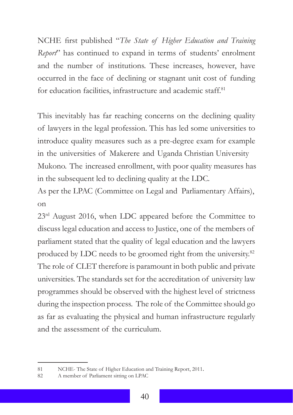NCHE first published "*The State of Higher Education and Training Report*" has continued to expand in terms of students' enrolment and the number of institutions. These increases, however, have occurred in the face of declining or stagnant unit cost of funding for education facilities, infrastructure and academic staff.<sup>81</sup>

This inevitably has far reaching concerns on the declining quality of lawyers in the legal profession. This has led some universities to introduce quality measures such as a pre-degree exam for example in the universities of Makerere and Uganda Christian University Mukono. The increased enrollment, with poor quality measures has in the subsequent led to declining quality at the LDC.

As per the LPAC (Committee on Legal and Parliamentary Affairs), on

23<sup>rd</sup> August 2016, when LDC appeared before the Committee to discuss legal education and access to Justice, one of the members of parliament stated that the quality of legal education and the lawyers produced by LDC needs to be groomed right from the university.<sup>82</sup> The role of CLET therefore is paramount in both public and private universities. The standards set for the accreditation of university law programmes should be observed with the highest level of strictness during the inspection process. The role of the Committee should go as far as evaluating the physical and human infrastructure regularly and the assessment of the curriculum.

<sup>81</sup> NCHE- The State of Higher Education and Training Report, 2011.<br>82 A member of Parliament sitting on LPAC

A member of Parliament sitting on LPAC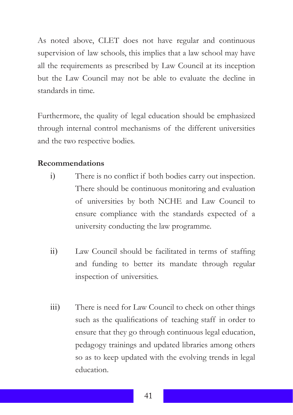As noted above, CLET does not have regular and continuous supervision of law schools, this implies that a law school may have all the requirements as prescribed by Law Council at its inception but the Law Council may not be able to evaluate the decline in standards in time.

Furthermore, the quality of legal education should be emphasized through internal control mechanisms of the different universities and the two respective bodies.

#### **Recommendations**

- i) There is no conflict if both bodies carry out inspection. There should be continuous monitoring and evaluation of universities by both NCHE and Law Council to ensure compliance with the standards expected of a university conducting the law programme.
- ii) Law Council should be facilitated in terms of staffing and funding to better its mandate through regular inspection of universities.
- iii) There is need for Law Council to check on other things such as the qualifications of teaching staff in order to ensure that they go through continuous legal education, pedagogy trainings and updated libraries among others so as to keep updated with the evolving trends in legal education.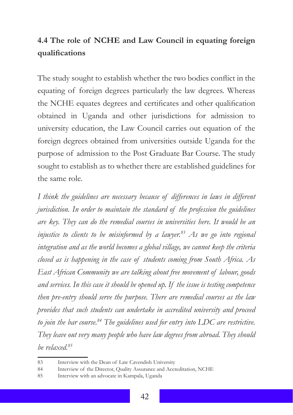# **4.4 The role of NCHE and Law Council in equating foreign qualifications**

The study sought to establish whether the two bodies conflict in the equating of foreign degrees particularly the law degrees. Whereas the NCHE equates degrees and certificates and other qualification obtained in Uganda and other jurisdictions for admission to university education, the Law Council carries out equation of the foreign degrees obtained from universities outside Uganda for the purpose of admission to the Post Graduate Bar Course. The study sought to establish as to whether there are established guidelines for the same role.

*I think the guidelines are necessary because of differences in laws in different jurisdiction. In order to maintain the standard of the profession the guidelines are key. They can do the remedial courses in universities here. It would be an injustice to clients to be misinformed by a lawyer.<sup>83</sup> As we go into regional integration and as the world becomes a global village, we cannot keep the criteria closed as is happening in the case of students coming from South Africa. As East African Community we are talking about free movement of labour, goods and services. In this case it should be opened up. If the issue is testing competence then pre-entry should serve the purpose. There are remedial courses as the law provides that such students can undertake in accredited university and proceed to join the bar course.<sup>84</sup> The guidelines used for entry into LDC are restrictive. They leave out very many people who have law degrees from abroad. They should be relaxed.<sup>85</sup>*

<sup>83</sup> Interview with the Dean of Law Cavendish University

<sup>84</sup> Interview of the Director, Quality Assurance and Accreditation, NCHE

<sup>85</sup> Interview with an advocate in Kampala, Uganda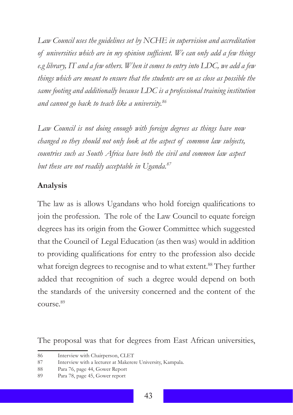*Law Council uses the guidelines set by NCHE in supervision and accreditation of universities which are in my opinion sufficient. We can only add a few things e.g library, IT and a few others. When it comes to entry into LDC, we add a few things which are meant to ensure that the students are on as close as possible the same footing and additionally because LDC is a professional training institution and cannot go back to teach like a university.<sup>86</sup>*

*Law Council is not doing enough with foreign degrees as things have now changed so they should not only look at the aspect of common law subjects, countries such as South Africa have both the civil and common law aspect but these are not readily acceptable in Uganda.<sup>87</sup>*

#### **Analysis**

The law as is allows Ugandans who hold foreign qualifications to join the profession. The role of the Law Council to equate foreign degrees has its origin from the Gower Committee which suggested that the Council of Legal Education (as then was) would in addition to providing qualifications for entry to the profession also decide what foreign degrees to recognise and to what extent.<sup>88</sup> They further added that recognition of such a degree would depend on both the standards of the university concerned and the content of the course.89

The proposal was that for degrees from East African universities,

<sup>86</sup> Interview with Chairperson, CLET

<sup>87</sup> Interview with a lecturer at Makerere University, Kampala.

<sup>88</sup> Para 76, page 44, Gower Report

<sup>89</sup> Para 78, page 45, Gower report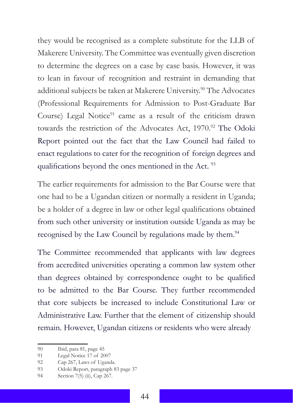they would be recognised as a complete substitute for the LLB of Makerere University. The Committee was eventually given discretion to determine the degrees on a case by case basis. However, it was to lean in favour of recognition and restraint in demanding that additional subjects be taken at Makerere University.<sup>90</sup> The Advocates (Professional Requirements for Admission to Post-Graduate Bar Course) Legal Notice<sup>91</sup> came as a result of the criticism drawn towards the restriction of the Advocates Act, 1970.<sup>92</sup> The Odoki Report pointed out the fact that the Law Council had failed to enact regulations to cater for the recognition of foreign degrees and qualifications beyond the ones mentioned in the Act.<sup>93</sup>

The earlier requirements for admission to the Bar Course were that one had to be a Ugandan citizen or normally a resident in Uganda; be a holder of a degree in law or other legal qualifications obtained from such other university or institution outside Uganda as may be recognised by the Law Council by regulations made by them.<sup>94</sup>

The Committee recommended that applicants with law degrees from accredited universities operating a common law system other than degrees obtained by correspondence ought to be qualified to be admitted to the Bar Course. They further recommended that core subjects be increased to include Constitutional Law or Administrative Law. Further that the element of citizenship should remain. However, Ugandan citizens or residents who were already

<sup>90</sup> Ibid, para 81, page 45

<sup>91</sup> Legal Notice 17 of 2007

<sup>92</sup> Cap 267, Laws of Uganda.

<sup>93</sup> Odoki Report, paragraph 83 page 37

<sup>94</sup> Section 7(5) (ii), Cap 267.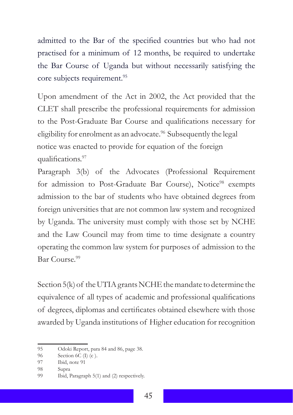admitted to the Bar of the specified countries but who had not practised for a minimum of 12 months, be required to undertake the Bar Course of Uganda but without necessarily satisfying the core subjects requirement.<sup>95</sup>

Upon amendment of the Act in 2002, the Act provided that the CLET shall prescribe the professional requirements for admission to the Post-Graduate Bar Course and qualifications necessary for eligibility for enrolment as an advocate.<sup>96</sup> Subsequently the legal notice was enacted to provide for equation of the foreign qualifications.<sup>97</sup>

Paragraph 3(b) of the Advocates (Professional Requirement for admission to Post-Graduate Bar Course), Notice<sup>98</sup> exempts admission to the bar of students who have obtained degrees from foreign universities that are not common law system and recognized by Uganda. The university must comply with those set by NCHE and the Law Council may from time to time designate a country operating the common law system for purposes of admission to the Bar Course.<sup>99</sup>

Section 5(k) of the UTIA grants NCHE the mandate to determine the equivalence of all types of academic and professional qualifications of degrees, diplomas and certificates obtained elsewhere with those awarded by Uganda institutions of Higher education for recognition

<sup>95</sup> Odoki Report, para 84 and 86, page 38.

<sup>96</sup> Section 6C (I) (c).

<sup>97</sup> Ibid, note 91

<sup>98</sup> Supra

<sup>99</sup> Ibid, Paragraph 5(1) and (2) respectively.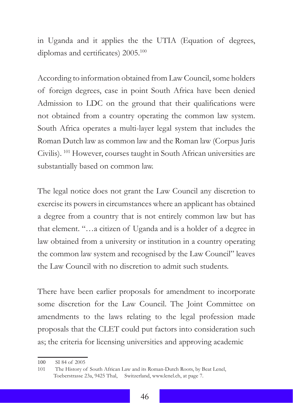in Uganda and it applies the the UTIA (Equation of degrees, diplomas and certificates) 2005.<sup>100</sup>

According to information obtained from Law Council, some holders of foreign degrees, case in point South Africa have been denied Admission to LDC on the ground that their qualifications were not obtained from a country operating the common law system. South Africa operates a multi-layer legal system that includes the Roman Dutch law as common law and the Roman law (Corpus Juris Civilis). <sup>101</sup> However, courses taught in South African universities are substantially based on common law.

The legal notice does not grant the Law Council any discretion to exercise its powers in circumstances where an applicant has obtained a degree from a country that is not entirely common law but has that element. "…a citizen of Uganda and is a holder of a degree in law obtained from a university or institution in a country operating the common law system and recognised by the Law Council" leaves the Law Council with no discretion to admit such students.

There have been earlier proposals for amendment to incorporate some discretion for the Law Council. The Joint Committee on amendments to the laws relating to the legal profession made proposals that the CLET could put factors into consideration such as; the criteria for licensing universities and approving academic

<sup>100</sup> SI 84 of 2005

<sup>101</sup> The History of South African Law and its Roman-Dutch Roots, by Beat Lenel, Toeberstrasse 23a, 9425 Thal, Switzerland, www.lenel.ch, at page 7.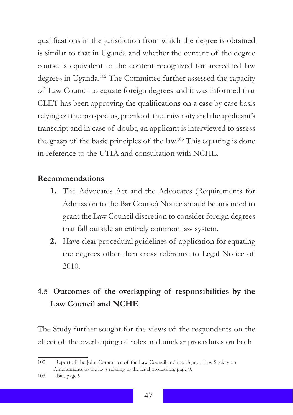qualifications in the jurisdiction from which the degree is obtained is similar to that in Uganda and whether the content of the degree course is equivalent to the content recognized for accredited law degrees in Uganda.102 The Committee further assessed the capacity of Law Council to equate foreign degrees and it was informed that CLET has been approving the qualifications on a case by case basis relying on the prospectus, profile of the university and the applicant's transcript and in case of doubt, an applicant is interviewed to assess the grasp of the basic principles of the law.<sup>103</sup> This equating is done in reference to the UTIA and consultation with NCHE.

#### **Recommendations**

- **1.** The Advocates Act and the Advocates (Requirements for Admission to the Bar Course) Notice should be amended to grant the Law Council discretion to consider foreign degrees that fall outside an entirely common law system.
- **2.** Have clear procedural guidelines of application for equating the degrees other than cross reference to Legal Notice of 2010.

# **4.5 Outcomes of the overlapping of responsibilities by the Law Council and NCHE**

The Study further sought for the views of the respondents on the effect of the overlapping of roles and unclear procedures on both

<sup>102</sup> Report of the Joint Committee of the Law Council and the Uganda Law Society on Amendments to the laws relating to the legal profession, page 9.

<sup>103</sup> Ibid, page 9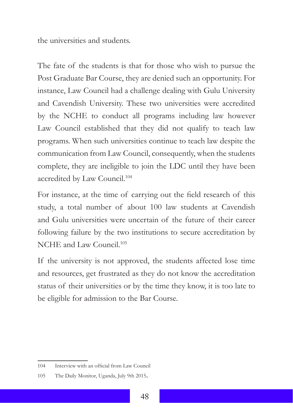the universities and students.

The fate of the students is that for those who wish to pursue the Post Graduate Bar Course, they are denied such an opportunity. For instance, Law Council had a challenge dealing with Gulu University and Cavendish University. These two universities were accredited by the NCHE to conduct all programs including law however Law Council established that they did not qualify to teach law programs. When such universities continue to teach law despite the communication from Law Council, consequently, when the students complete, they are ineligible to join the LDC until they have been accredited by Law Council.<sup>104</sup>

For instance, at the time of carrying out the field research of this study, a total number of about 100 law students at Cavendish and Gulu universities were uncertain of the future of their career following failure by the two institutions to secure accreditation by NCHE and Law Council.<sup>105</sup>

If the university is not approved, the students affected lose time and resources, get frustrated as they do not know the accreditation status of their universities or by the time they know, it is too late to be eligible for admission to the Bar Course.

<sup>104</sup> Interview with an official from Law Council

<sup>105</sup> The Daily Monitor, Uganda, July 9th 2015.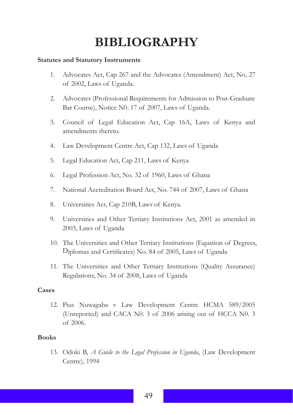# **BIBLIOGRAPHY**

#### **Statutes and Statutory Instruments**

- 1. Advocates Act, Cap 267 and the Advocates (Amendment) Act, No, 27 of 2002, Laws of Uganda.
- $\mathcal{D}$ Advocates (Professional Requirements for Admission to Post-Graduate Bar Course), Notice N0. 17 of 2007, Laws of Uganda.
- 3. Council of Legal Education Act, Cap 16A, Laws of Kenya and amendments thereto.
- 4. Law Development Centre Act, Cap 132, Laws of Uganda
- 5. Legal Education Act, Cap 211, Laws of Kenya
- 6. Legal Profession Act, No. 32 of 1960, Laws of Ghana
- 7. National Accreditation Board Act, No. 744 of 2007, Laws of Ghana
- 8. Universities Act, Cap 210B, Laws of Kenya.
- 9. Universities and Other Tertiary Institutions Act, 2001 as amended in 2003, Laws of Uganda
- 10. The Universities and Other Tertiary Institutions (Equation of Degrees, Diplomas and Certificates) No. 84 of 2005, Laws of Uganda
- 11. The Universities and Other Tertiary Institutions (Quality Assurance) Regulations, No. 34 of 2008, Laws of Uganda

#### **Cases**

12. Pius Nuwagaba v Law Development Centre HCMA 589/2005 (Unreported) and CACA N0. 3 of 2006 arising out of HCCA N0. 3 of 2006.

#### **Books**

13. Odoki B, *A Guide to the Legal Profession in Uganda*, (Law Development Centre), 1994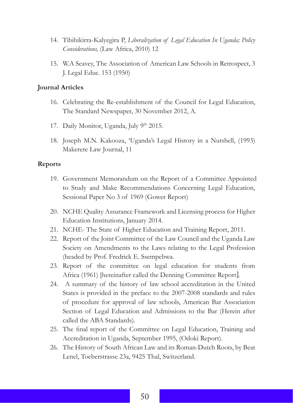- 14. Tibihikirra-Kalyegira P, *Liberalization of Legal Education In Uganda; Policy Considerations,* (Law Africa, 2010) 12
- 15. W.A Seavey, The Association of American Law Schools in Retrospect, 3 J. Legal Educ. 153 (1950)

#### **Journal Articles**

- 16. Celebrating the Re-establishment of the Council for Legal Education, The Standard Newspaper, 30 November 2012, A.
- 17. Daily Monitor, Uganda, July 9th 2015.
- 18. Joseph M.N. Kakooza, 'Uganda's Legal History in a Nutshell, (1993) Makerere Law Journal, 11

#### **Reports**

- 19. Government Memorandum on the Report of a Committee Appointed to Study and Make Recommendations Concerning Legal Education, Sessional Paper No 3 of 1969 (Gower Report)
- 20. NCHE Quality Assurance Framework and Licensing process for Higher Education Institutions, January 2014.
- 21. NCHE- The State of Higher Education and Training Report, 2011.
- 22. Report of the Joint Committee of the Law Council and the Uganda Law Society on Amendments to the Laws relating to the Legal Profession (headed by Prof. Fredrick E. Ssempebwa.
- 23. Report of the committee on legal education for students from Africa (1961) [hereinafter called the Denning Committee Report].
- 24. A summary of the history of law school accreditation in the United States is provided in the preface to the 2007-2008 standards and rules of procedure for approval of law schools, American Bar Association Section of Legal Education and Admissions to the Bar (Herein after called the ABA Standards).
- 25. The final report of the Committee on Legal Education, Training and Accreditation in Uganda, September 1995, (Odoki Report).
- 26. The History of South African Law and its Roman-Dutch Roots, by Beat Lenel, Toeberstrasse 23a, 9425 Thal, Switzerland.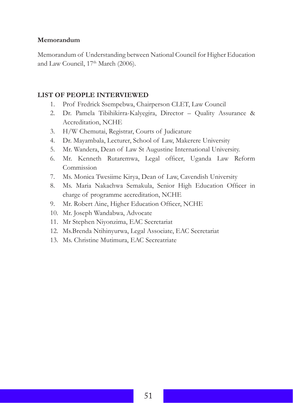#### **Memorandum**

Memorandum of Understanding between National Council for Higher Education and Law Council, 17<sup>th</sup> March (2006).

#### **LIST OF PEOPLE INTERVIEWED**

- 1. Prof Fredrick Ssempebwa, Chairperson CLET, Law Council
- 2. Dr. Pamela Tibihikirra-Kalyegira, Director – Quality Assurance & Accreditation, NCHE
- 3. H/W Chemutai, Registrar, Courts of Judicature
- 4. Dr. Mayambala, Lecturer, School of Law, Makerere University
- 5. Mr. Wandera, Dean of Law St Augustine International University.
- 6. Mr. Kenneth Rutaremwa, Legal officer, Uganda Law Reform Commission
- 7. Ms. Monica Twesiime Kirya, Dean of Law, Cavendish University
- 8. Ms. Maria Nakachwa Semakula, Senior High Education Officer in charge of programme accreditation, NCHE
- 9. Mr. Robert Aine, Higher Education Officer, NCHE
- 10. Mr. Joseph Wandabwa, Advocate
- 11. Mr Stephen Niyonzima, EAC Secretariat
- 12. Ms.Brenda Ntihinyurwa, Legal Associate, EAC Secretariat
- 13. Ms. Christine Mutimura, EAC Secreatriate